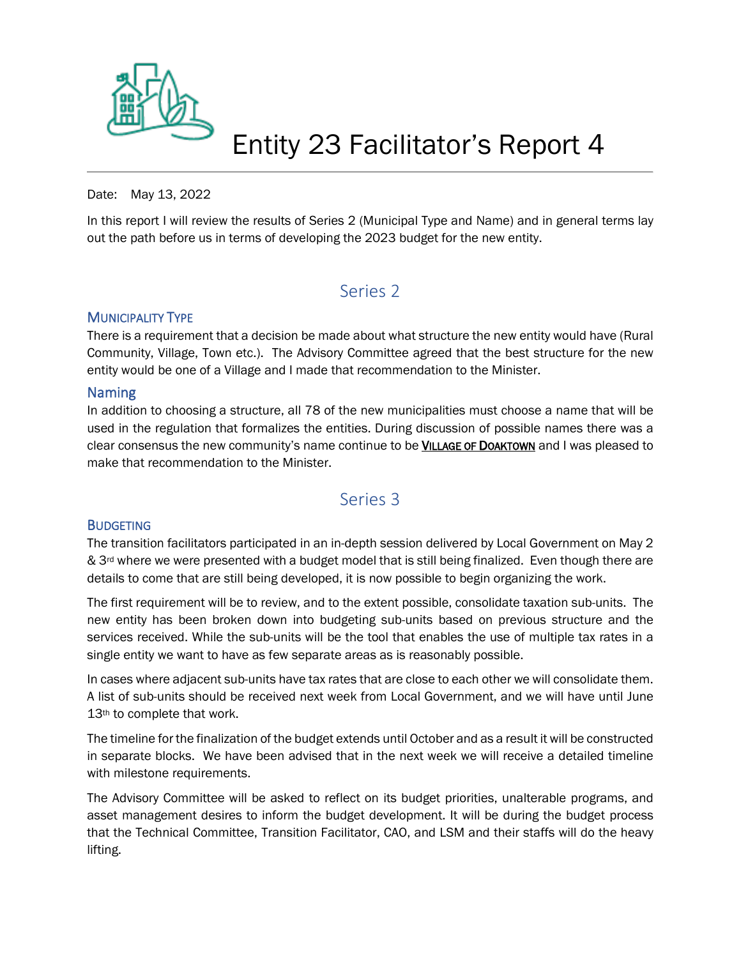

## Entity 23 Facilitator's Report 4

#### Date: May 13, 2022

In this report I will review the results of Series 2 (Municipal Type and Name) and in general terms lay out the path before us in terms of developing the 2023 budget for the new entity.

## Series 2

#### **MUNICIPALITY TYPE**

There is a requirement that a decision be made about what structure the new entity would have (Rural Community, Village, Town etc.). The Advisory Committee agreed that the best structure for the new entity would be one of a Village and I made that recommendation to the Minister.

#### Naming

In addition to choosing a structure, all 78 of the new municipalities must choose a name that will be used in the regulation that formalizes the entities. During discussion of possible names there was a clear consensus the new community's name continue to be VILLAGE OF DOAKTOWN and I was pleased to make that recommendation to the Minister.

## Series 3

#### **BUDGETING**

The transition facilitators participated in an in-depth session delivered by Local Government on May 2 & 3<sup>rd</sup> where we were presented with a budget model that is still being finalized. Even though there are details to come that are still being developed, it is now possible to begin organizing the work.

The first requirement will be to review, and to the extent possible, consolidate taxation sub-units. The new entity has been broken down into budgeting sub-units based on previous structure and the services received. While the sub-units will be the tool that enables the use of multiple tax rates in a single entity we want to have as few separate areas as is reasonably possible.

In cases where adjacent sub-units have tax rates that are close to each other we will consolidate them. A list of sub-units should be received next week from Local Government, and we will have until June 13<sup>th</sup> to complete that work.

The timeline for the finalization of the budget extends until October and as a result it will be constructed in separate blocks. We have been advised that in the next week we will receive a detailed timeline with milestone requirements.

The Advisory Committee will be asked to reflect on its budget priorities, unalterable programs, and asset management desires to inform the budget development. It will be during the budget process that the Technical Committee, Transition Facilitator, CAO, and LSM and their staffs will do the heavy lifting.